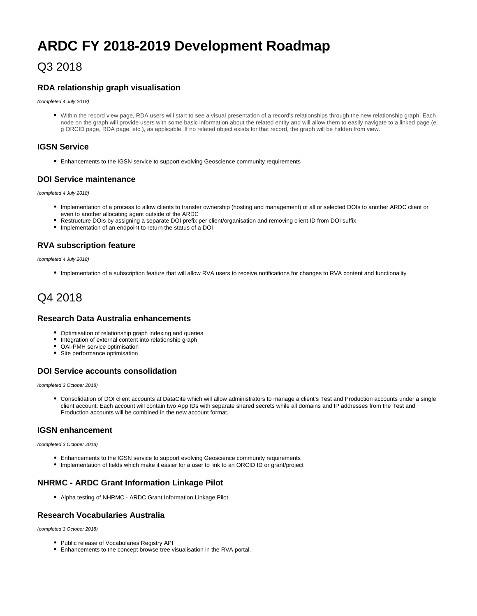# **ARDC FY 2018-2019 Development Roadmap**

### Q3 2018

#### **RDA relationship graph visualisation**

(completed 4 July 2018)

Within the record view page, RDA users will start to see a visual presentation of a record's relationships through the new relationship graph. Each node on the graph will provide users with some basic information about the related entity and will allow them to easily navigate to a linked page (e. g ORCID page, RDA page, etc.), as applicable. If no related object exists for that record, the graph will be hidden from view.

#### **IGSN Service**

Enhancements to the IGSN service to support evolving Geoscience community requirements

#### **DOI Service maintenance**

(completed 4 July 2018)

- Implementation of a process to allow clients to transfer ownership (hosting and management) of all or selected DOIs to another ARDC client or even to another allocating agent outside of the ARDC
- Restructure DOIs by assigning a separate DOI prefix per client/organisation and removing client ID from DOI suffix
- Implementation of an endpoint to return the status of a DOI

#### **RVA subscription feature**

(completed 4 July 2018)

Implementation of a subscription feature that will allow RVA users to receive notifications for changes to RVA content and functionality

## Q4 2018

#### **Research Data Australia enhancements**

- Optimisation of relationship graph indexing and queries
- Integration of external content into relationship graph
- OAI-PMH service optimisation
- Site performance optimisation

#### **DOI Service accounts consolidation**

(completed 3 October 2018)

Consolidation of DOI client accounts at DataCite which will allow administrators to manage a client's Test and Production accounts under a single client account. Each account will contain two App IDs with separate shared secrets while all domains and IP addresses from the Test and Production accounts will be combined in the new account format.

#### **IGSN enhancement**

(completed 3 October 2018)

- Enhancements to the IGSN service to support evolving Geoscience community requirements
- Implementation of fields which make it easier for a user to link to an ORCID ID or grant/project

#### **NHRMC - ARDC Grant Information Linkage Pilot**

Alpha testing of NHRMC - ARDC Grant Information Linkage Pilot

#### **Research Vocabularies Australia**

(completed 3 October 2018)

- Public release of Vocabularies Registry API
- Enhancements to the concept browse tree visualisation in the RVA portal.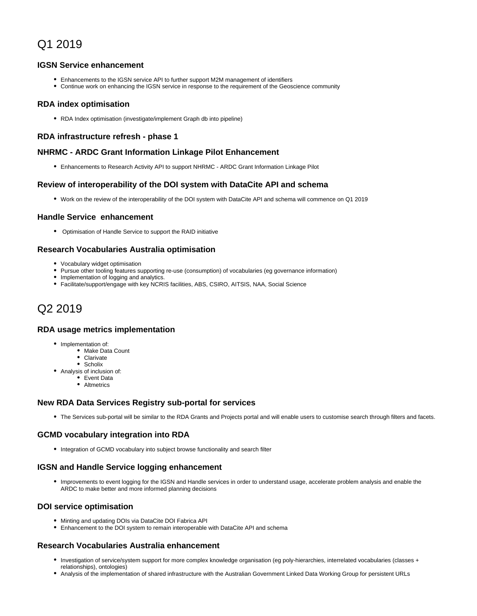## Q1 2019

#### **IGSN Service enhancement**

- Enhancements to the IGSN service API to further support M2M management of identifiers
- Continue work on enhancing the IGSN service in response to the requirement of the Geoscience community

#### **RDA index optimisation**

RDA Index optimisation (investigate/implement Graph db into pipeline)

#### **RDA infrastructure refresh - phase 1**

#### **NHRMC - ARDC Grant Information Linkage Pilot Enhancement**

Enhancements to Research Activity API to support NHRMC - ARDC Grant Information Linkage Pilot

#### **Review of interoperability of the DOI system with DataCite API and schema**

Work on the review of the interoperability of the DOI system with DataCite API and schema will commence on Q1 2019

#### **Handle Service enhancement**

Optimisation of Handle Service to support the RAID initiative

#### **Research Vocabularies Australia optimisation**

- Vocabulary widget optimisation
- Pursue other tooling features supporting re-use (consumption) of vocabularies (eg governance information)
- Implementation of logging and analytics.
- Facilitate/support/engage with key NCRIS facilities, ABS, CSIRO, AITSIS, NAA, Social Science

## Q2 2019

#### **RDA usage metrics implementation**

- Implementation of:
	- Make Data Count
	- Clarivate
	- Scholix
- Analysis of inclusion of:
	- Event Data • Altmetrics

#### **New RDA Data Services Registry sub-portal for services**

The Services sub-portal will be similar to the RDA Grants and Projects portal and will enable users to customise search through filters and facets.

#### **GCMD vocabulary integration into RDA**

• Integration of GCMD vocabulary into subject browse functionality and search filter

#### **IGSN and Handle Service logging enhancement**

Improvements to event logging for the IGSN and Handle services in order to understand usage, accelerate problem analysis and enable the ARDC to make better and more informed planning decisions

#### **DOI service optimisation**

- Minting and updating DOIs via DataCite DOI Fabrica API
- Enhancement to the DOI system to remain interoperable with DataCite API and schema

#### **Research Vocabularies Australia enhancement**

- Investigation of service/system support for more complex knowledge organisation (eg poly-hierarchies, interrelated vocabularies (classes + relationships), ontologies)
- Analysis of the implementation of shared infrastructure with the Australian Government Linked Data Working Group for persistent URLs